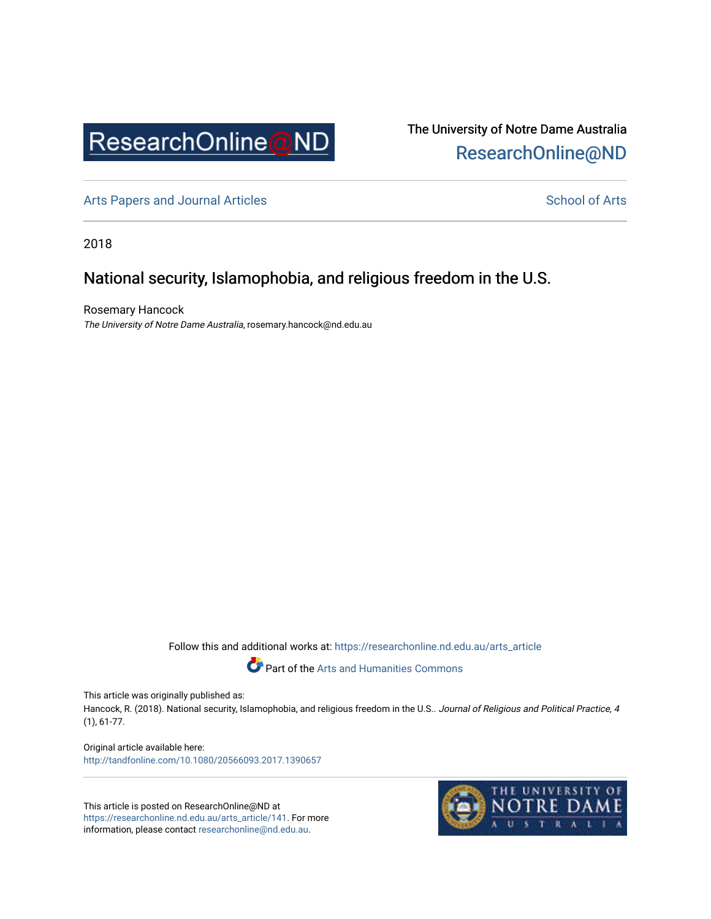

The University of Notre Dame Australia [ResearchOnline@ND](https://researchonline.nd.edu.au/) 

[Arts Papers and Journal Articles](https://researchonline.nd.edu.au/arts_article) and [School of Arts](https://researchonline.nd.edu.au/arts) School of Arts

2018

## National security, Islamophobia, and religious freedom in the U.S.

Rosemary Hancock The University of Notre Dame Australia, rosemary.hancock@nd.edu.au

Follow this and additional works at: [https://researchonline.nd.edu.au/arts\\_article](https://researchonline.nd.edu.au/arts_article?utm_source=researchonline.nd.edu.au%2Farts_article%2F141&utm_medium=PDF&utm_campaign=PDFCoverPages) 

Part of the [Arts and Humanities Commons](http://network.bepress.com/hgg/discipline/438?utm_source=researchonline.nd.edu.au%2Farts_article%2F141&utm_medium=PDF&utm_campaign=PDFCoverPages) 

This article was originally published as:

Hancock, R. (2018). National security, Islamophobia, and religious freedom in the U.S.. Journal of Religious and Political Practice, 4 (1), 61-77.

Original article available here: <http://tandfonline.com/10.1080/20566093.2017.1390657>

This article is posted on ResearchOnline@ND at [https://researchonline.nd.edu.au/arts\\_article/141](https://researchonline.nd.edu.au/arts_article/141). For more information, please contact [researchonline@nd.edu.au.](mailto:researchonline@nd.edu.au)

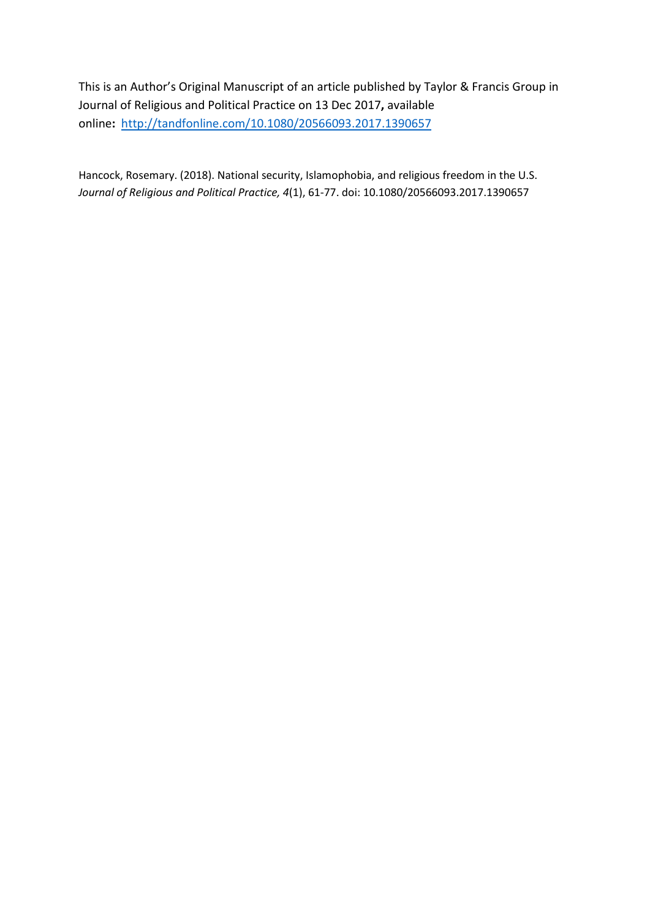This is an Author's Original Manuscript of an article published by Taylor & Francis Group in Journal of Religious and Political Practice on 13 Dec 2017**,** available online**:** <http://tandfonline.com/10.1080/20566093.2017.1390657>

Hancock, Rosemary. (2018). National security, Islamophobia, and religious freedom in the U.S. *Journal of Religious and Political Practice, 4*(1), 61-77. doi: 10.1080/20566093.2017.1390657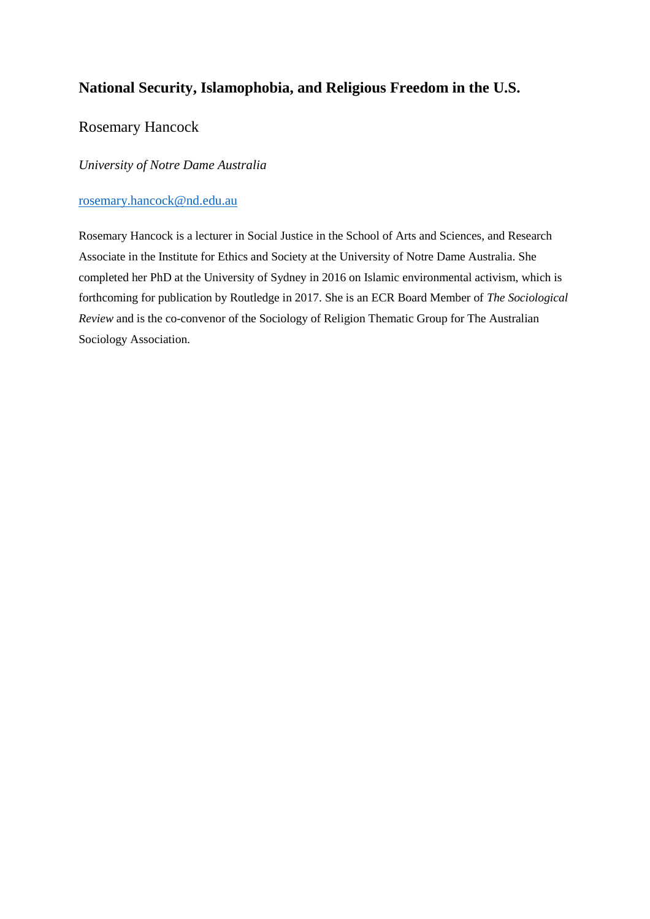# **National Security, Islamophobia, and Religious Freedom in the U.S.**

## Rosemary Hancock

## *University of Notre Dame Australia*

## [rosemary.hancock@nd.edu.au](mailto:rosemary.hancock@nd.edu.au)

Rosemary Hancock is a lecturer in Social Justice in the School of Arts and Sciences, and Research Associate in the Institute for Ethics and Society at the University of Notre Dame Australia. She completed her PhD at the University of Sydney in 2016 on Islamic environmental activism, which is forthcoming for publication by Routledge in 2017. She is an ECR Board Member of *The Sociological Review* and is the co-convenor of the Sociology of Religion Thematic Group for The Australian Sociology Association.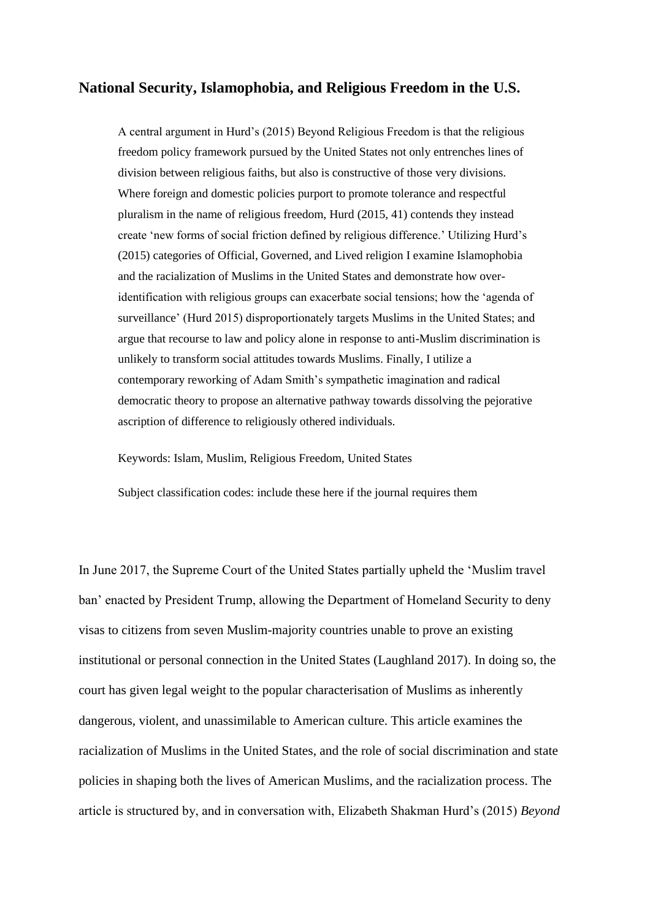## **National Security, Islamophobia, and Religious Freedom in the U.S.**

A central argument in Hurd's (2015) Beyond Religious Freedom is that the religious freedom policy framework pursued by the United States not only entrenches lines of division between religious faiths, but also is constructive of those very divisions. Where foreign and domestic policies purport to promote tolerance and respectful pluralism in the name of religious freedom, Hurd (2015, 41) contends they instead create 'new forms of social friction defined by religious difference.' Utilizing Hurd's (2015) categories of Official, Governed, and Lived religion I examine Islamophobia and the racialization of Muslims in the United States and demonstrate how overidentification with religious groups can exacerbate social tensions; how the 'agenda of surveillance' (Hurd 2015) disproportionately targets Muslims in the United States; and argue that recourse to law and policy alone in response to anti-Muslim discrimination is unlikely to transform social attitudes towards Muslims. Finally, I utilize a contemporary reworking of Adam Smith's sympathetic imagination and radical democratic theory to propose an alternative pathway towards dissolving the pejorative ascription of difference to religiously othered individuals.

Keywords: Islam, Muslim, Religious Freedom, United States

Subject classification codes: include these here if the journal requires them

In June 2017, the Supreme Court of the United States partially upheld the 'Muslim travel ban' enacted by President Trump, allowing the Department of Homeland Security to deny visas to citizens from seven Muslim-majority countries unable to prove an existing institutional or personal connection in the United States (Laughland 2017). In doing so, the court has given legal weight to the popular characterisation of Muslims as inherently dangerous, violent, and unassimilable to American culture. This article examines the racialization of Muslims in the United States, and the role of social discrimination and state policies in shaping both the lives of American Muslims, and the racialization process. The article is structured by, and in conversation with, Elizabeth Shakman Hurd's (2015) *Beyond*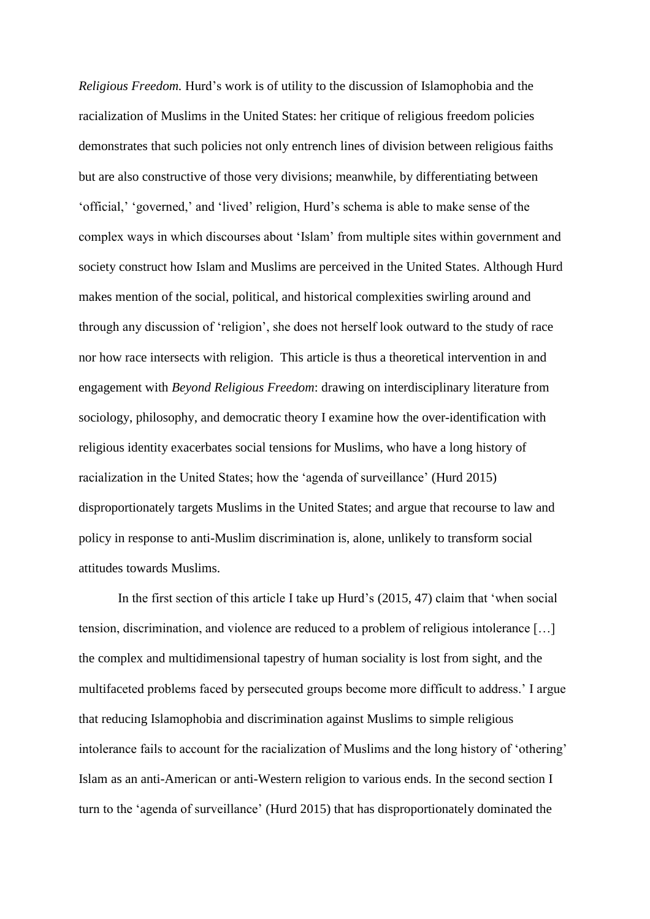*Religious Freedom.* Hurd's work is of utility to the discussion of Islamophobia and the racialization of Muslims in the United States: her critique of religious freedom policies demonstrates that such policies not only entrench lines of division between religious faiths but are also constructive of those very divisions; meanwhile, by differentiating between 'official,' 'governed,' and 'lived' religion, Hurd's schema is able to make sense of the complex ways in which discourses about 'Islam' from multiple sites within government and society construct how Islam and Muslims are perceived in the United States. Although Hurd makes mention of the social, political, and historical complexities swirling around and through any discussion of 'religion', she does not herself look outward to the study of race nor how race intersects with religion. This article is thus a theoretical intervention in and engagement with *Beyond Religious Freedom*: drawing on interdisciplinary literature from sociology, philosophy, and democratic theory I examine how the over-identification with religious identity exacerbates social tensions for Muslims, who have a long history of racialization in the United States; how the 'agenda of surveillance' (Hurd 2015) disproportionately targets Muslims in the United States; and argue that recourse to law and policy in response to anti-Muslim discrimination is, alone, unlikely to transform social attitudes towards Muslims.

In the first section of this article I take up Hurd's (2015, 47) claim that 'when social tension, discrimination, and violence are reduced to a problem of religious intolerance […] the complex and multidimensional tapestry of human sociality is lost from sight, and the multifaceted problems faced by persecuted groups become more difficult to address.' I argue that reducing Islamophobia and discrimination against Muslims to simple religious intolerance fails to account for the racialization of Muslims and the long history of 'othering' Islam as an anti-American or anti-Western religion to various ends. In the second section I turn to the 'agenda of surveillance' (Hurd 2015) that has disproportionately dominated the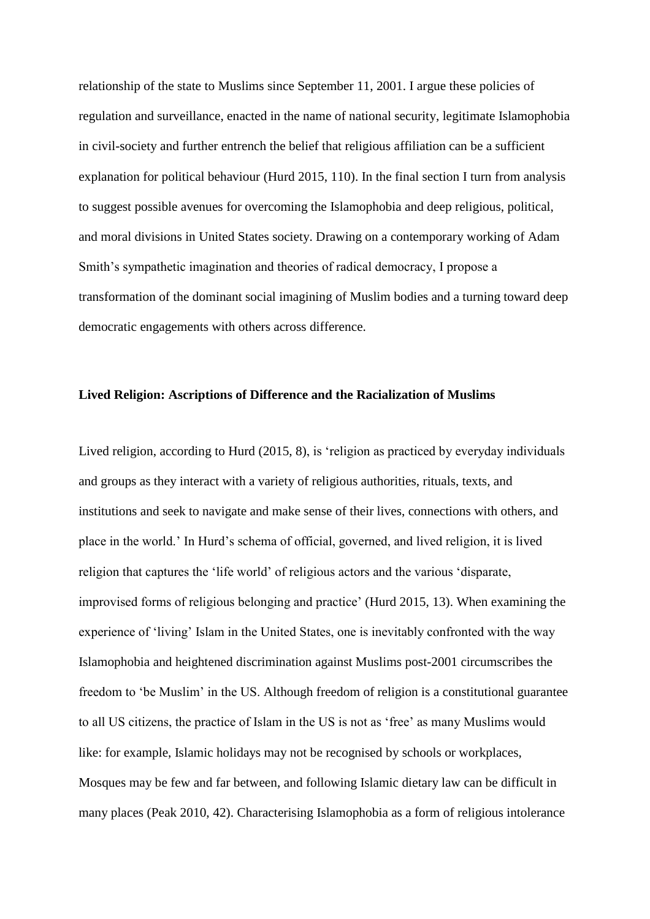relationship of the state to Muslims since September 11, 2001. I argue these policies of regulation and surveillance, enacted in the name of national security, legitimate Islamophobia in civil-society and further entrench the belief that religious affiliation can be a sufficient explanation for political behaviour (Hurd 2015, 110). In the final section I turn from analysis to suggest possible avenues for overcoming the Islamophobia and deep religious, political, and moral divisions in United States society. Drawing on a contemporary working of Adam Smith's sympathetic imagination and theories of radical democracy, I propose a transformation of the dominant social imagining of Muslim bodies and a turning toward deep democratic engagements with others across difference.

#### **Lived Religion: Ascriptions of Difference and the Racialization of Muslims**

Lived religion, according to Hurd (2015, 8), is 'religion as practiced by everyday individuals and groups as they interact with a variety of religious authorities, rituals, texts, and institutions and seek to navigate and make sense of their lives, connections with others, and place in the world.' In Hurd's schema of official, governed, and lived religion, it is lived religion that captures the 'life world' of religious actors and the various 'disparate, improvised forms of religious belonging and practice' (Hurd 2015, 13). When examining the experience of 'living' Islam in the United States, one is inevitably confronted with the way Islamophobia and heightened discrimination against Muslims post-2001 circumscribes the freedom to 'be Muslim' in the US. Although freedom of religion is a constitutional guarantee to all US citizens, the practice of Islam in the US is not as 'free' as many Muslims would like: for example, Islamic holidays may not be recognised by schools or workplaces, Mosques may be few and far between, and following Islamic dietary law can be difficult in many places (Peak 2010, 42). Characterising Islamophobia as a form of religious intolerance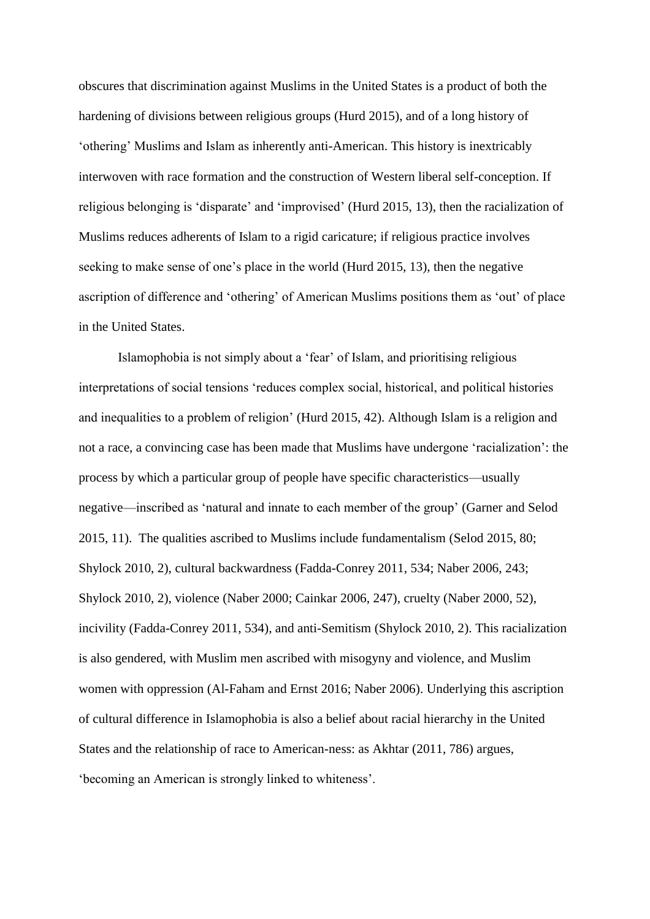obscures that discrimination against Muslims in the United States is a product of both the hardening of divisions between religious groups (Hurd 2015), and of a long history of 'othering' Muslims and Islam as inherently anti-American. This history is inextricably interwoven with race formation and the construction of Western liberal self-conception. If religious belonging is 'disparate' and 'improvised' (Hurd 2015, 13), then the racialization of Muslims reduces adherents of Islam to a rigid caricature; if religious practice involves seeking to make sense of one's place in the world (Hurd 2015, 13), then the negative ascription of difference and 'othering' of American Muslims positions them as 'out' of place in the United States.

Islamophobia is not simply about a 'fear' of Islam, and prioritising religious interpretations of social tensions 'reduces complex social, historical, and political histories and inequalities to a problem of religion' (Hurd 2015, 42). Although Islam is a religion and not a race, a convincing case has been made that Muslims have undergone 'racialization': the process by which a particular group of people have specific characteristics—usually negative—inscribed as 'natural and innate to each member of the group' (Garner and Selod 2015, 11). The qualities ascribed to Muslims include fundamentalism (Selod 2015, 80; Shylock 2010, 2), cultural backwardness (Fadda-Conrey 2011, 534; Naber 2006, 243; Shylock 2010, 2), violence (Naber 2000; Cainkar 2006, 247), cruelty (Naber 2000, 52), incivility (Fadda-Conrey 2011, 534), and anti-Semitism (Shylock 2010, 2). This racialization is also gendered, with Muslim men ascribed with misogyny and violence, and Muslim women with oppression (Al-Faham and Ernst 2016; Naber 2006). Underlying this ascription of cultural difference in Islamophobia is also a belief about racial hierarchy in the United States and the relationship of race to American-ness: as Akhtar (2011, 786) argues, 'becoming an American is strongly linked to whiteness'.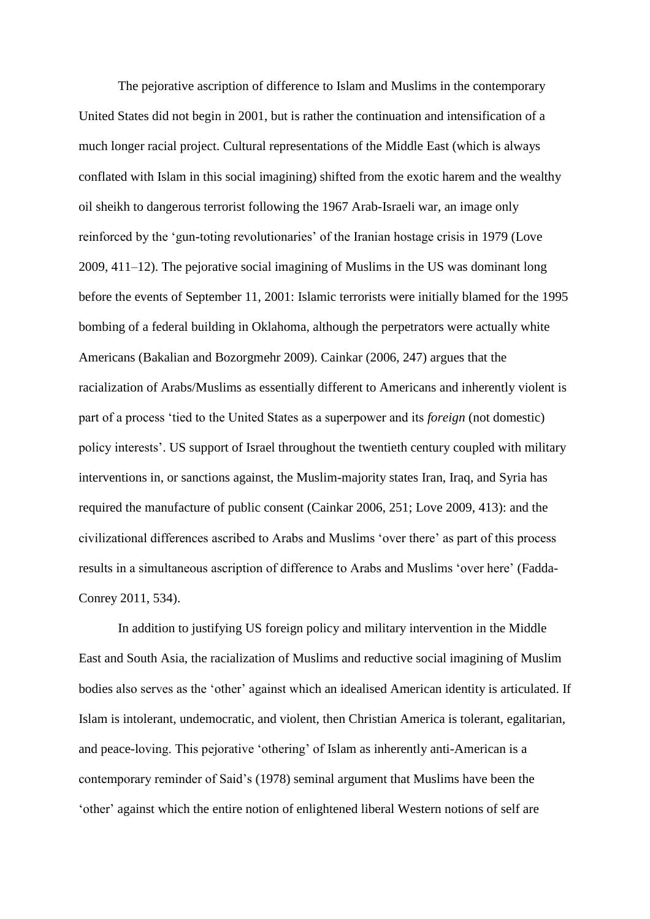The pejorative ascription of difference to Islam and Muslims in the contemporary United States did not begin in 2001, but is rather the continuation and intensification of a much longer racial project. Cultural representations of the Middle East (which is always conflated with Islam in this social imagining) shifted from the exotic harem and the wealthy oil sheikh to dangerous terrorist following the 1967 Arab-Israeli war, an image only reinforced by the 'gun-toting revolutionaries' of the Iranian hostage crisis in 1979 (Love 2009, 411–12). The pejorative social imagining of Muslims in the US was dominant long before the events of September 11, 2001: Islamic terrorists were initially blamed for the 1995 bombing of a federal building in Oklahoma, although the perpetrators were actually white Americans (Bakalian and Bozorgmehr 2009). Cainkar (2006, 247) argues that the racialization of Arabs/Muslims as essentially different to Americans and inherently violent is part of a process 'tied to the United States as a superpower and its *foreign* (not domestic) policy interests'. US support of Israel throughout the twentieth century coupled with military interventions in, or sanctions against, the Muslim-majority states Iran, Iraq, and Syria has required the manufacture of public consent (Cainkar 2006, 251; Love 2009, 413): and the civilizational differences ascribed to Arabs and Muslims 'over there' as part of this process results in a simultaneous ascription of difference to Arabs and Muslims 'over here' (Fadda-Conrey 2011, 534).

In addition to justifying US foreign policy and military intervention in the Middle East and South Asia, the racialization of Muslims and reductive social imagining of Muslim bodies also serves as the 'other' against which an idealised American identity is articulated. If Islam is intolerant, undemocratic, and violent, then Christian America is tolerant, egalitarian, and peace-loving. This pejorative 'othering' of Islam as inherently anti-American is a contemporary reminder of Said's (1978) seminal argument that Muslims have been the 'other' against which the entire notion of enlightened liberal Western notions of self are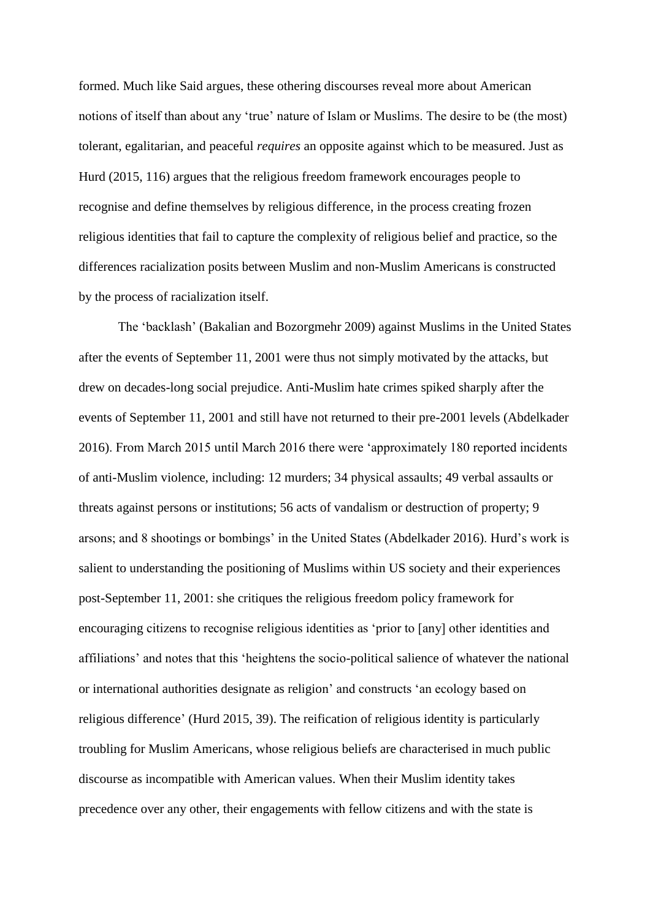formed. Much like Said argues, these othering discourses reveal more about American notions of itself than about any 'true' nature of Islam or Muslims. The desire to be (the most) tolerant, egalitarian, and peaceful *requires* an opposite against which to be measured. Just as Hurd (2015, 116) argues that the religious freedom framework encourages people to recognise and define themselves by religious difference, in the process creating frozen religious identities that fail to capture the complexity of religious belief and practice, so the differences racialization posits between Muslim and non-Muslim Americans is constructed by the process of racialization itself.

The 'backlash' (Bakalian and Bozorgmehr 2009) against Muslims in the United States after the events of September 11, 2001 were thus not simply motivated by the attacks, but drew on decades-long social prejudice. Anti-Muslim hate crimes spiked sharply after the events of September 11, 2001 and still have not returned to their pre-2001 levels (Abdelkader 2016). From March 2015 until March 2016 there were 'approximately 180 reported incidents of anti-Muslim violence, including: 12 murders; 34 physical assaults; 49 verbal assaults or threats against persons or institutions; 56 acts of vandalism or destruction of property; 9 arsons; and 8 shootings or bombings' in the United States (Abdelkader 2016). Hurd's work is salient to understanding the positioning of Muslims within US society and their experiences post-September 11, 2001: she critiques the religious freedom policy framework for encouraging citizens to recognise religious identities as 'prior to [any] other identities and affiliations' and notes that this 'heightens the socio-political salience of whatever the national or international authorities designate as religion' and constructs 'an ecology based on religious difference' (Hurd 2015, 39). The reification of religious identity is particularly troubling for Muslim Americans, whose religious beliefs are characterised in much public discourse as incompatible with American values. When their Muslim identity takes precedence over any other, their engagements with fellow citizens and with the state is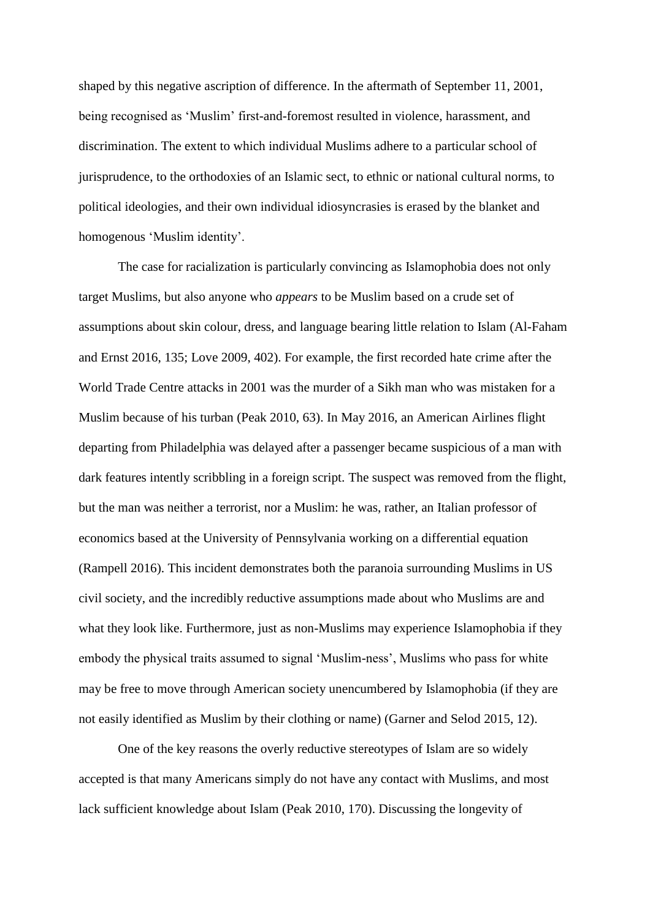shaped by this negative ascription of difference. In the aftermath of September 11, 2001, being recognised as 'Muslim' first-and-foremost resulted in violence, harassment, and discrimination. The extent to which individual Muslims adhere to a particular school of jurisprudence, to the orthodoxies of an Islamic sect, to ethnic or national cultural norms, to political ideologies, and their own individual idiosyncrasies is erased by the blanket and homogenous 'Muslim identity'.

The case for racialization is particularly convincing as Islamophobia does not only target Muslims, but also anyone who *appears* to be Muslim based on a crude set of assumptions about skin colour, dress, and language bearing little relation to Islam (Al-Faham and Ernst 2016, 135; Love 2009, 402). For example, the first recorded hate crime after the World Trade Centre attacks in 2001 was the murder of a Sikh man who was mistaken for a Muslim because of his turban (Peak 2010, 63). In May 2016, an American Airlines flight departing from Philadelphia was delayed after a passenger became suspicious of a man with dark features intently scribbling in a foreign script. The suspect was removed from the flight, but the man was neither a terrorist, nor a Muslim: he was, rather, an Italian professor of economics based at the University of Pennsylvania working on a differential equation (Rampell 2016). This incident demonstrates both the paranoia surrounding Muslims in US civil society, and the incredibly reductive assumptions made about who Muslims are and what they look like. Furthermore, just as non-Muslims may experience Islamophobia if they embody the physical traits assumed to signal 'Muslim-ness', Muslims who pass for white may be free to move through American society unencumbered by Islamophobia (if they are not easily identified as Muslim by their clothing or name) (Garner and Selod 2015, 12).

One of the key reasons the overly reductive stereotypes of Islam are so widely accepted is that many Americans simply do not have any contact with Muslims, and most lack sufficient knowledge about Islam (Peak 2010, 170). Discussing the longevity of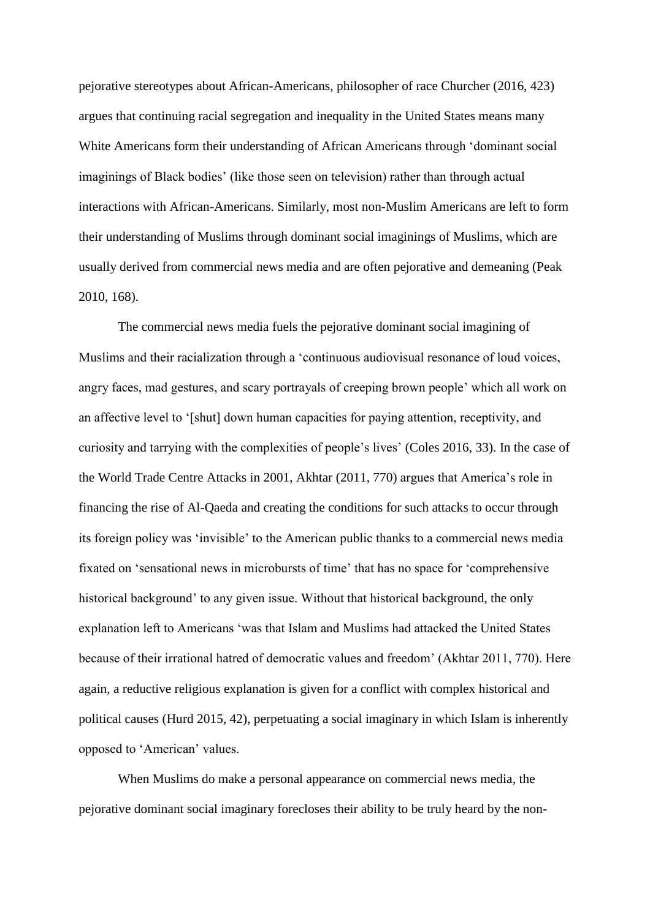pejorative stereotypes about African-Americans, philosopher of race Churcher (2016, 423) argues that continuing racial segregation and inequality in the United States means many White Americans form their understanding of African Americans through 'dominant social imaginings of Black bodies' (like those seen on television) rather than through actual interactions with African-Americans. Similarly, most non-Muslim Americans are left to form their understanding of Muslims through dominant social imaginings of Muslims, which are usually derived from commercial news media and are often pejorative and demeaning (Peak 2010, 168).

The commercial news media fuels the pejorative dominant social imagining of Muslims and their racialization through a 'continuous audiovisual resonance of loud voices, angry faces, mad gestures, and scary portrayals of creeping brown people' which all work on an affective level to '[shut] down human capacities for paying attention, receptivity, and curiosity and tarrying with the complexities of people's lives' (Coles 2016, 33). In the case of the World Trade Centre Attacks in 2001, Akhtar (2011, 770) argues that America's role in financing the rise of Al-Qaeda and creating the conditions for such attacks to occur through its foreign policy was 'invisible' to the American public thanks to a commercial news media fixated on 'sensational news in microbursts of time' that has no space for 'comprehensive historical background' to any given issue. Without that historical background, the only explanation left to Americans 'was that Islam and Muslims had attacked the United States because of their irrational hatred of democratic values and freedom' (Akhtar 2011, 770). Here again, a reductive religious explanation is given for a conflict with complex historical and political causes (Hurd 2015, 42), perpetuating a social imaginary in which Islam is inherently opposed to 'American' values.

When Muslims do make a personal appearance on commercial news media, the pejorative dominant social imaginary forecloses their ability to be truly heard by the non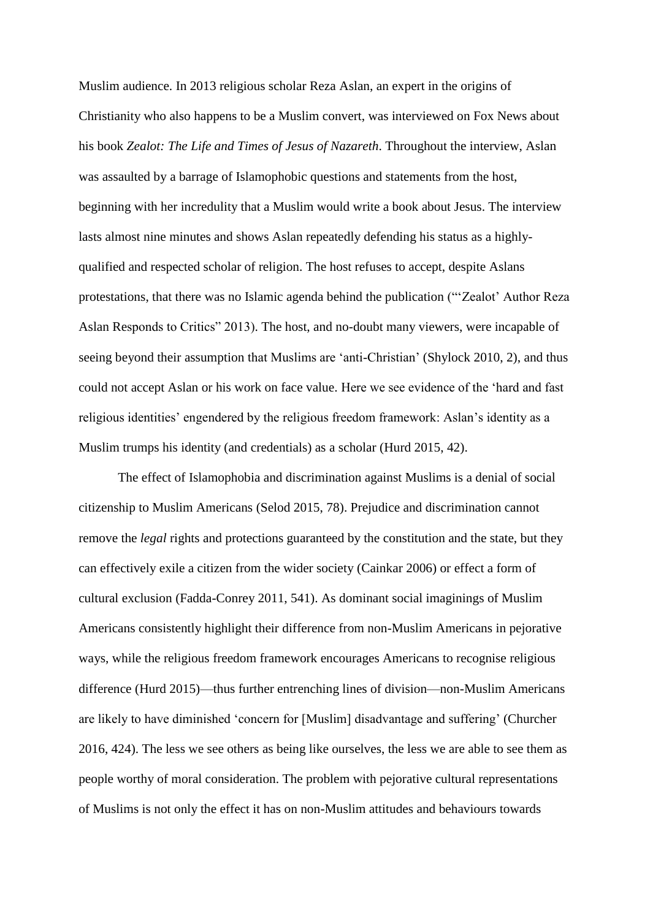Muslim audience. In 2013 religious scholar Reza Aslan, an expert in the origins of Christianity who also happens to be a Muslim convert, was interviewed on Fox News about his book *Zealot: The Life and Times of Jesus of Nazareth*. Throughout the interview, Aslan was assaulted by a barrage of Islamophobic questions and statements from the host, beginning with her incredulity that a Muslim would write a book about Jesus. The interview lasts almost nine minutes and shows Aslan repeatedly defending his status as a highlyqualified and respected scholar of religion. The host refuses to accept, despite Aslans protestations, that there was no Islamic agenda behind the publication ("'Zealot' Author Reza Aslan Responds to Critics" 2013). The host, and no-doubt many viewers, were incapable of seeing beyond their assumption that Muslims are 'anti-Christian' (Shylock 2010, 2), and thus could not accept Aslan or his work on face value. Here we see evidence of the 'hard and fast religious identities' engendered by the religious freedom framework: Aslan's identity as a Muslim trumps his identity (and credentials) as a scholar (Hurd 2015, 42).

The effect of Islamophobia and discrimination against Muslims is a denial of social citizenship to Muslim Americans (Selod 2015, 78). Prejudice and discrimination cannot remove the *legal* rights and protections guaranteed by the constitution and the state, but they can effectively exile a citizen from the wider society (Cainkar 2006) or effect a form of cultural exclusion (Fadda-Conrey 2011, 541). As dominant social imaginings of Muslim Americans consistently highlight their difference from non-Muslim Americans in pejorative ways, while the religious freedom framework encourages Americans to recognise religious difference (Hurd 2015)—thus further entrenching lines of division—non-Muslim Americans are likely to have diminished 'concern for [Muslim] disadvantage and suffering' (Churcher 2016, 424). The less we see others as being like ourselves, the less we are able to see them as people worthy of moral consideration. The problem with pejorative cultural representations of Muslims is not only the effect it has on non-Muslim attitudes and behaviours towards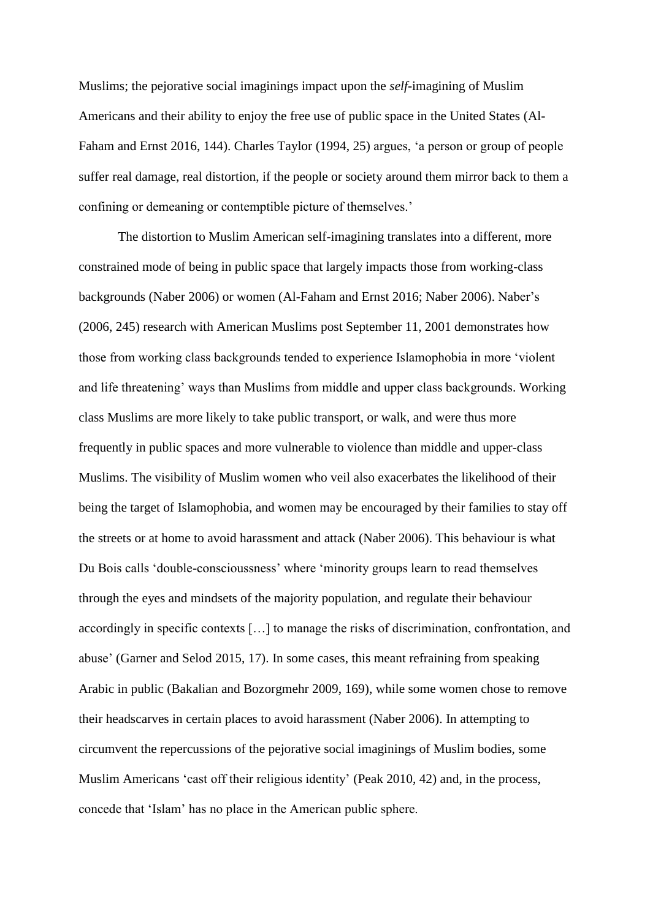Muslims; the pejorative social imaginings impact upon the *self*-imagining of Muslim Americans and their ability to enjoy the free use of public space in the United States (Al-Faham and Ernst 2016, 144). Charles Taylor (1994, 25) argues, 'a person or group of people suffer real damage, real distortion, if the people or society around them mirror back to them a confining or demeaning or contemptible picture of themselves.'

The distortion to Muslim American self-imagining translates into a different, more constrained mode of being in public space that largely impacts those from working-class backgrounds (Naber 2006) or women (Al-Faham and Ernst 2016; Naber 2006). Naber's (2006, 245) research with American Muslims post September 11, 2001 demonstrates how those from working class backgrounds tended to experience Islamophobia in more 'violent and life threatening' ways than Muslims from middle and upper class backgrounds. Working class Muslims are more likely to take public transport, or walk, and were thus more frequently in public spaces and more vulnerable to violence than middle and upper-class Muslims. The visibility of Muslim women who veil also exacerbates the likelihood of their being the target of Islamophobia, and women may be encouraged by their families to stay off the streets or at home to avoid harassment and attack (Naber 2006). This behaviour is what Du Bois calls 'double-conscioussness' where 'minority groups learn to read themselves through the eyes and mindsets of the majority population, and regulate their behaviour accordingly in specific contexts […] to manage the risks of discrimination, confrontation, and abuse' (Garner and Selod 2015, 17). In some cases, this meant refraining from speaking Arabic in public (Bakalian and Bozorgmehr 2009, 169), while some women chose to remove their headscarves in certain places to avoid harassment (Naber 2006). In attempting to circumvent the repercussions of the pejorative social imaginings of Muslim bodies, some Muslim Americans 'cast off their religious identity' (Peak 2010, 42) and, in the process, concede that 'Islam' has no place in the American public sphere.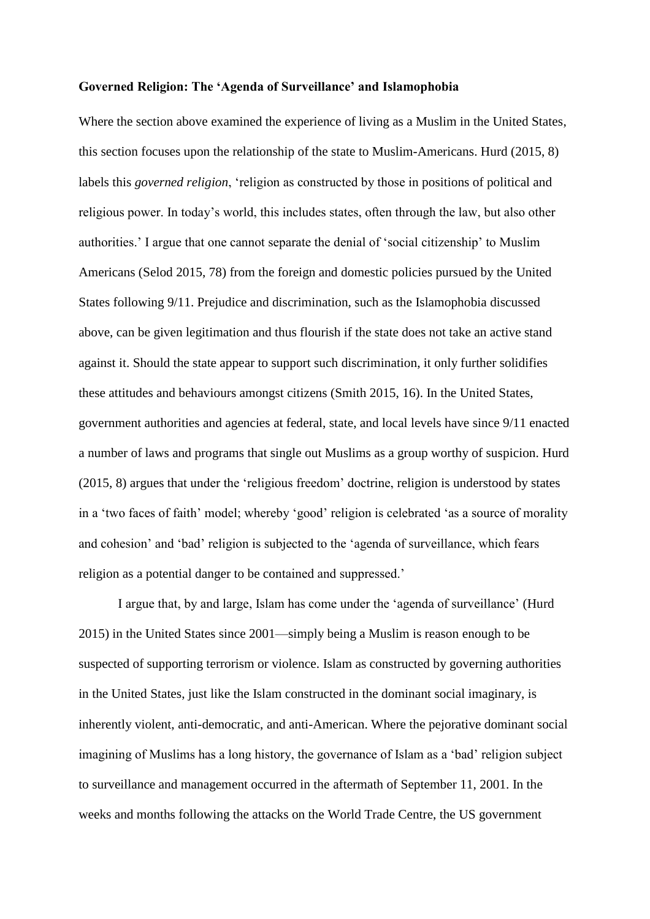#### **Governed Religion: The 'Agenda of Surveillance' and Islamophobia**

Where the section above examined the experience of living as a Muslim in the United States, this section focuses upon the relationship of the state to Muslim-Americans. Hurd (2015, 8) labels this *governed religion*, 'religion as constructed by those in positions of political and religious power. In today's world, this includes states, often through the law, but also other authorities.' I argue that one cannot separate the denial of 'social citizenship' to Muslim Americans (Selod 2015, 78) from the foreign and domestic policies pursued by the United States following 9/11. Prejudice and discrimination, such as the Islamophobia discussed above, can be given legitimation and thus flourish if the state does not take an active stand against it. Should the state appear to support such discrimination, it only further solidifies these attitudes and behaviours amongst citizens (Smith 2015, 16). In the United States, government authorities and agencies at federal, state, and local levels have since 9/11 enacted a number of laws and programs that single out Muslims as a group worthy of suspicion. Hurd (2015, 8) argues that under the 'religious freedom' doctrine, religion is understood by states in a 'two faces of faith' model; whereby 'good' religion is celebrated 'as a source of morality and cohesion' and 'bad' religion is subjected to the 'agenda of surveillance, which fears religion as a potential danger to be contained and suppressed.'

I argue that, by and large, Islam has come under the 'agenda of surveillance' (Hurd 2015) in the United States since 2001—simply being a Muslim is reason enough to be suspected of supporting terrorism or violence. Islam as constructed by governing authorities in the United States, just like the Islam constructed in the dominant social imaginary, is inherently violent, anti-democratic, and anti-American. Where the pejorative dominant social imagining of Muslims has a long history, the governance of Islam as a 'bad' religion subject to surveillance and management occurred in the aftermath of September 11, 2001. In the weeks and months following the attacks on the World Trade Centre, the US government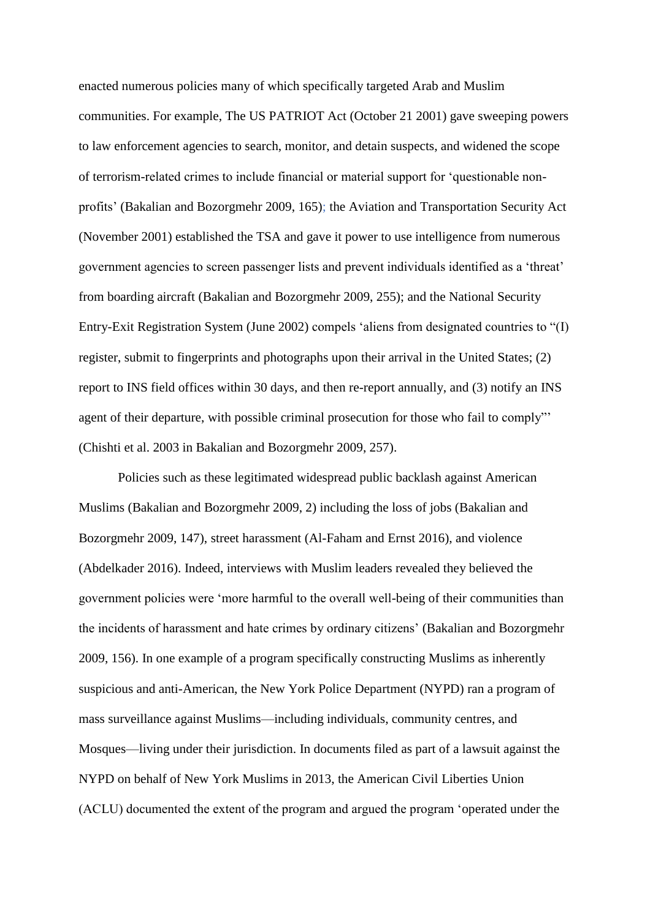enacted numerous policies many of which specifically targeted Arab and Muslim communities. For example, The US PATRIOT Act (October 21 2001) gave sweeping powers to law enforcement agencies to search, monitor, and detain suspects, and widened the scope of terrorism-related crimes to include financial or material support for 'questionable nonprofits' (Bakalian and Bozorgmehr 2009, 165); the Aviation and Transportation Security Act (November 2001) established the TSA and gave it power to use intelligence from numerous government agencies to screen passenger lists and prevent individuals identified as a 'threat' from boarding aircraft (Bakalian and Bozorgmehr 2009, 255); and the National Security Entry-Exit Registration System (June 2002) compels 'aliens from designated countries to "(I) register, submit to fingerprints and photographs upon their arrival in the United States; (2) report to INS field offices within 30 days, and then re-report annually, and (3) notify an INS agent of their departure, with possible criminal prosecution for those who fail to comply"' (Chishti et al. 2003 in Bakalian and Bozorgmehr 2009, 257).

Policies such as these legitimated widespread public backlash against American Muslims (Bakalian and Bozorgmehr 2009, 2) including the loss of jobs (Bakalian and Bozorgmehr 2009, 147), street harassment (Al-Faham and Ernst 2016), and violence (Abdelkader 2016). Indeed, interviews with Muslim leaders revealed they believed the government policies were 'more harmful to the overall well-being of their communities than the incidents of harassment and hate crimes by ordinary citizens' (Bakalian and Bozorgmehr 2009, 156). In one example of a program specifically constructing Muslims as inherently suspicious and anti-American, the New York Police Department (NYPD) ran a program of mass surveillance against Muslims—including individuals, community centres, and Mosques—living under their jurisdiction. In documents filed as part of a lawsuit against the NYPD on behalf of New York Muslims in 2013, the American Civil Liberties Union (ACLU) documented the extent of the program and argued the program 'operated under the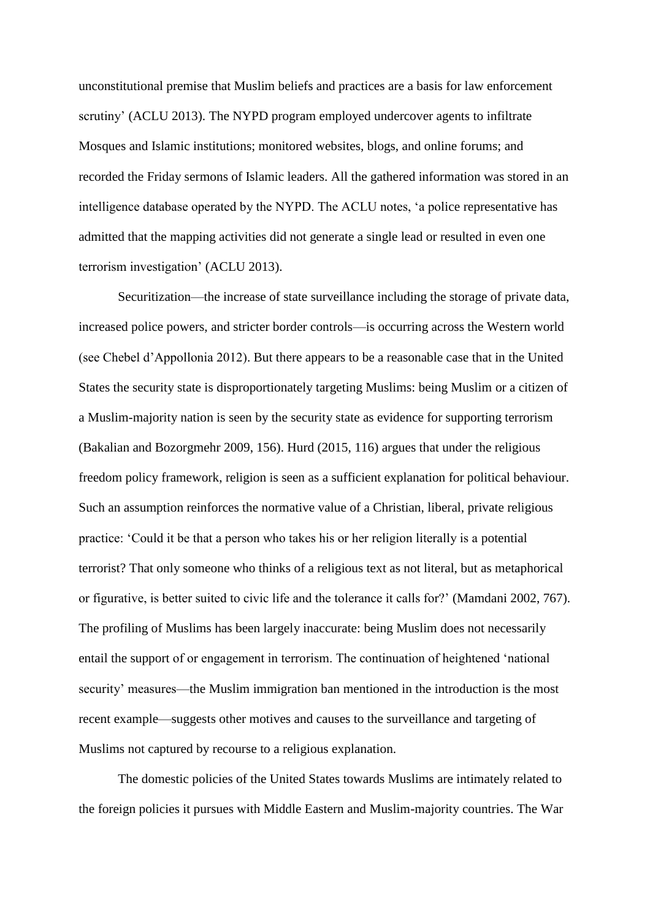unconstitutional premise that Muslim beliefs and practices are a basis for law enforcement scrutiny' (ACLU 2013). The NYPD program employed undercover agents to infiltrate Mosques and Islamic institutions; monitored websites, blogs, and online forums; and recorded the Friday sermons of Islamic leaders. All the gathered information was stored in an intelligence database operated by the NYPD. The ACLU notes, 'a police representative has admitted that the mapping activities did not generate a single lead or resulted in even one terrorism investigation' (ACLU 2013).

Securitization—the increase of state surveillance including the storage of private data, increased police powers, and stricter border controls—is occurring across the Western world (see Chebel d'Appollonia 2012). But there appears to be a reasonable case that in the United States the security state is disproportionately targeting Muslims: being Muslim or a citizen of a Muslim-majority nation is seen by the security state as evidence for supporting terrorism (Bakalian and Bozorgmehr 2009, 156). Hurd (2015, 116) argues that under the religious freedom policy framework, religion is seen as a sufficient explanation for political behaviour. Such an assumption reinforces the normative value of a Christian, liberal, private religious practice: 'Could it be that a person who takes his or her religion literally is a potential terrorist? That only someone who thinks of a religious text as not literal, but as metaphorical or figurative, is better suited to civic life and the tolerance it calls for?' (Mamdani 2002, 767). The profiling of Muslims has been largely inaccurate: being Muslim does not necessarily entail the support of or engagement in terrorism. The continuation of heightened 'national security' measures—the Muslim immigration ban mentioned in the introduction is the most recent example—suggests other motives and causes to the surveillance and targeting of Muslims not captured by recourse to a religious explanation.

The domestic policies of the United States towards Muslims are intimately related to the foreign policies it pursues with Middle Eastern and Muslim-majority countries. The War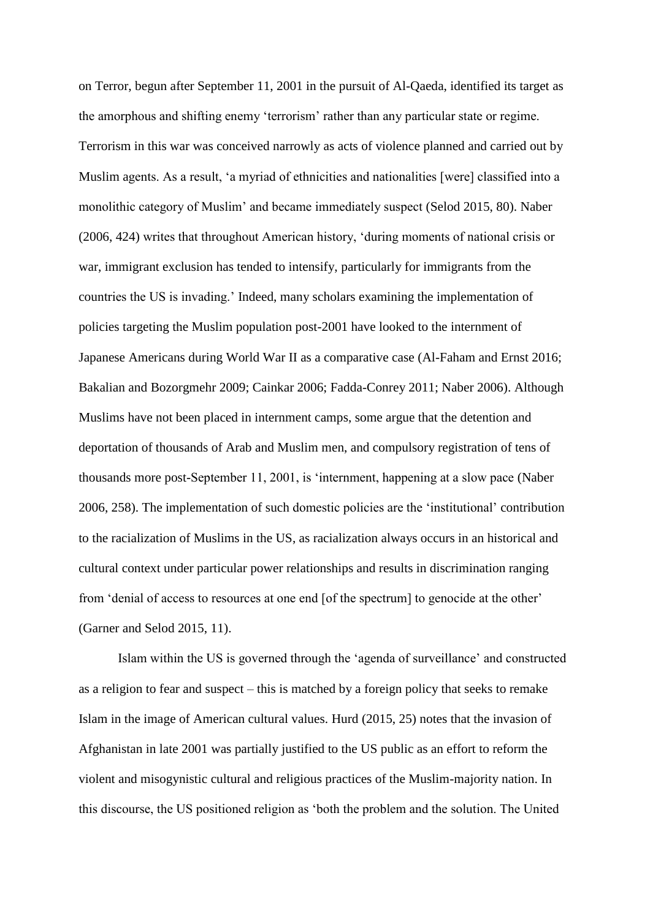on Terror, begun after September 11, 2001 in the pursuit of Al-Qaeda, identified its target as the amorphous and shifting enemy 'terrorism' rather than any particular state or regime. Terrorism in this war was conceived narrowly as acts of violence planned and carried out by Muslim agents. As a result, 'a myriad of ethnicities and nationalities [were] classified into a monolithic category of Muslim' and became immediately suspect (Selod 2015, 80). Naber (2006, 424) writes that throughout American history, 'during moments of national crisis or war, immigrant exclusion has tended to intensify, particularly for immigrants from the countries the US is invading.' Indeed, many scholars examining the implementation of policies targeting the Muslim population post-2001 have looked to the internment of Japanese Americans during World War II as a comparative case (Al-Faham and Ernst 2016; Bakalian and Bozorgmehr 2009; Cainkar 2006; Fadda-Conrey 2011; Naber 2006). Although Muslims have not been placed in internment camps, some argue that the detention and deportation of thousands of Arab and Muslim men, and compulsory registration of tens of thousands more post-September 11, 2001, is 'internment, happening at a slow pace (Naber 2006, 258). The implementation of such domestic policies are the 'institutional' contribution to the racialization of Muslims in the US, as racialization always occurs in an historical and cultural context under particular power relationships and results in discrimination ranging from 'denial of access to resources at one end [of the spectrum] to genocide at the other' (Garner and Selod 2015, 11).

Islam within the US is governed through the 'agenda of surveillance' and constructed as a religion to fear and suspect – this is matched by a foreign policy that seeks to remake Islam in the image of American cultural values. Hurd (2015, 25) notes that the invasion of Afghanistan in late 2001 was partially justified to the US public as an effort to reform the violent and misogynistic cultural and religious practices of the Muslim-majority nation. In this discourse, the US positioned religion as 'both the problem and the solution. The United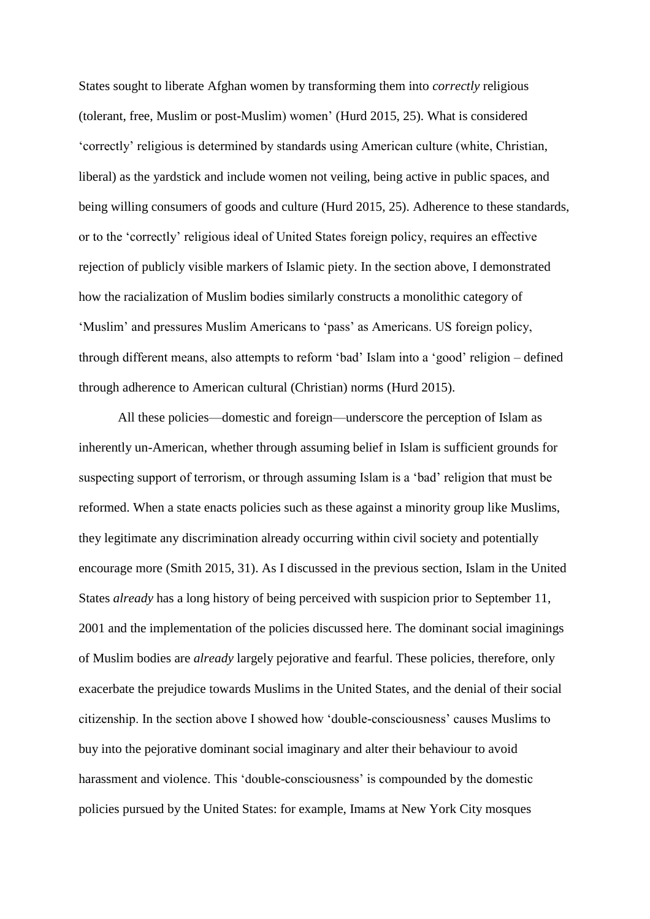States sought to liberate Afghan women by transforming them into *correctly* religious (tolerant, free, Muslim or post-Muslim) women' (Hurd 2015, 25). What is considered 'correctly' religious is determined by standards using American culture (white, Christian, liberal) as the yardstick and include women not veiling, being active in public spaces, and being willing consumers of goods and culture (Hurd 2015, 25). Adherence to these standards, or to the 'correctly' religious ideal of United States foreign policy, requires an effective rejection of publicly visible markers of Islamic piety. In the section above, I demonstrated how the racialization of Muslim bodies similarly constructs a monolithic category of 'Muslim' and pressures Muslim Americans to 'pass' as Americans. US foreign policy, through different means, also attempts to reform 'bad' Islam into a 'good' religion – defined through adherence to American cultural (Christian) norms (Hurd 2015).

All these policies—domestic and foreign—underscore the perception of Islam as inherently un-American, whether through assuming belief in Islam is sufficient grounds for suspecting support of terrorism, or through assuming Islam is a 'bad' religion that must be reformed. When a state enacts policies such as these against a minority group like Muslims, they legitimate any discrimination already occurring within civil society and potentially encourage more (Smith 2015, 31). As I discussed in the previous section, Islam in the United States *already* has a long history of being perceived with suspicion prior to September 11, 2001 and the implementation of the policies discussed here. The dominant social imaginings of Muslim bodies are *already* largely pejorative and fearful. These policies, therefore, only exacerbate the prejudice towards Muslims in the United States, and the denial of their social citizenship. In the section above I showed how 'double-consciousness' causes Muslims to buy into the pejorative dominant social imaginary and alter their behaviour to avoid harassment and violence. This 'double-consciousness' is compounded by the domestic policies pursued by the United States: for example, Imams at New York City mosques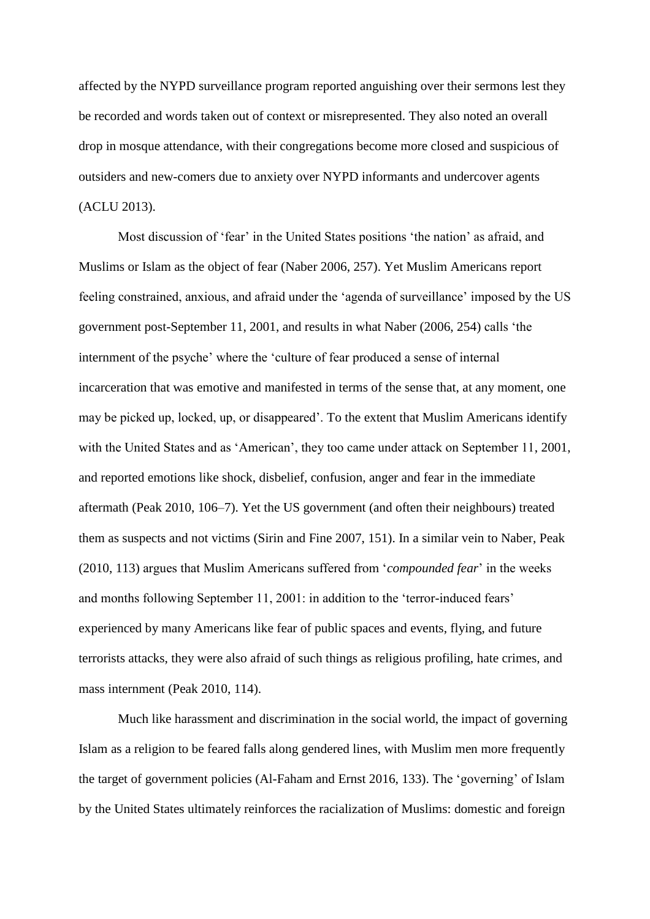affected by the NYPD surveillance program reported anguishing over their sermons lest they be recorded and words taken out of context or misrepresented. They also noted an overall drop in mosque attendance, with their congregations become more closed and suspicious of outsiders and new-comers due to anxiety over NYPD informants and undercover agents (ACLU 2013).

Most discussion of 'fear' in the United States positions 'the nation' as afraid, and Muslims or Islam as the object of fear (Naber 2006, 257). Yet Muslim Americans report feeling constrained, anxious, and afraid under the 'agenda of surveillance' imposed by the US government post-September 11, 2001, and results in what Naber (2006, 254) calls 'the internment of the psyche' where the 'culture of fear produced a sense of internal incarceration that was emotive and manifested in terms of the sense that, at any moment, one may be picked up, locked, up, or disappeared'. To the extent that Muslim Americans identify with the United States and as 'American', they too came under attack on September 11, 2001, and reported emotions like shock, disbelief, confusion, anger and fear in the immediate aftermath (Peak 2010, 106–7). Yet the US government (and often their neighbours) treated them as suspects and not victims (Sirin and Fine 2007, 151). In a similar vein to Naber, Peak (2010, 113) argues that Muslim Americans suffered from '*compounded fear*' in the weeks and months following September 11, 2001: in addition to the 'terror-induced fears' experienced by many Americans like fear of public spaces and events, flying, and future terrorists attacks, they were also afraid of such things as religious profiling, hate crimes, and mass internment (Peak 2010, 114).

Much like harassment and discrimination in the social world, the impact of governing Islam as a religion to be feared falls along gendered lines, with Muslim men more frequently the target of government policies (Al-Faham and Ernst 2016, 133). The 'governing' of Islam by the United States ultimately reinforces the racialization of Muslims: domestic and foreign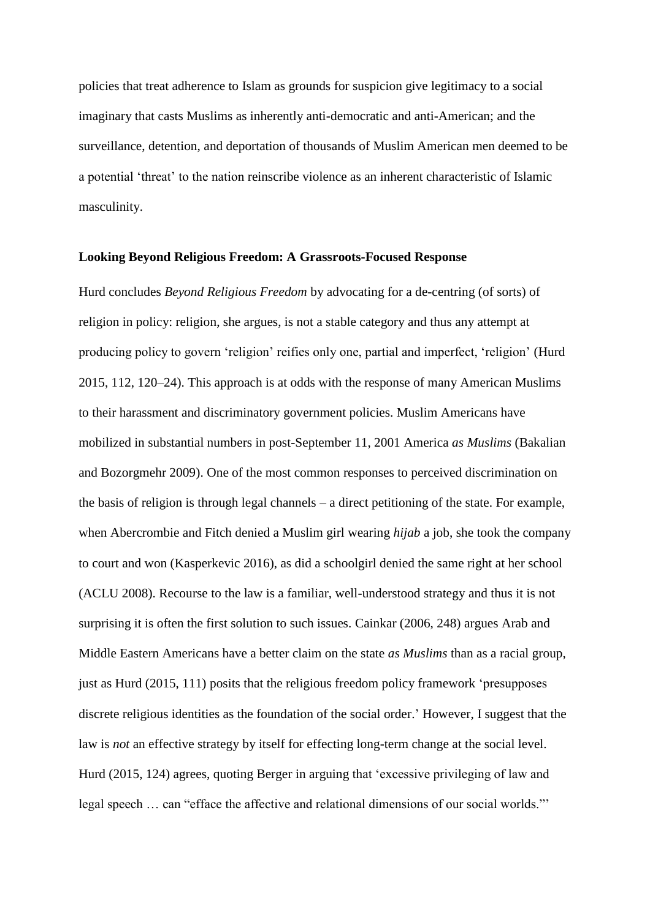policies that treat adherence to Islam as grounds for suspicion give legitimacy to a social imaginary that casts Muslims as inherently anti-democratic and anti-American; and the surveillance, detention, and deportation of thousands of Muslim American men deemed to be a potential 'threat' to the nation reinscribe violence as an inherent characteristic of Islamic masculinity.

#### **Looking Beyond Religious Freedom: A Grassroots-Focused Response**

Hurd concludes *Beyond Religious Freedom* by advocating for a de-centring (of sorts) of religion in policy: religion, she argues, is not a stable category and thus any attempt at producing policy to govern 'religion' reifies only one, partial and imperfect, 'religion' (Hurd 2015, 112, 120–24). This approach is at odds with the response of many American Muslims to their harassment and discriminatory government policies. Muslim Americans have mobilized in substantial numbers in post-September 11, 2001 America *as Muslims* (Bakalian and Bozorgmehr 2009). One of the most common responses to perceived discrimination on the basis of religion is through legal channels – a direct petitioning of the state. For example, when Abercrombie and Fitch denied a Muslim girl wearing *hijab* a job, she took the company to court and won (Kasperkevic 2016), as did a schoolgirl denied the same right at her school (ACLU 2008). Recourse to the law is a familiar, well-understood strategy and thus it is not surprising it is often the first solution to such issues. Cainkar (2006, 248) argues Arab and Middle Eastern Americans have a better claim on the state *as Muslims* than as a racial group, just as Hurd (2015, 111) posits that the religious freedom policy framework 'presupposes discrete religious identities as the foundation of the social order.' However, I suggest that the law is *not* an effective strategy by itself for effecting long-term change at the social level. Hurd (2015, 124) agrees, quoting Berger in arguing that 'excessive privileging of law and legal speech … can "efface the affective and relational dimensions of our social worlds."'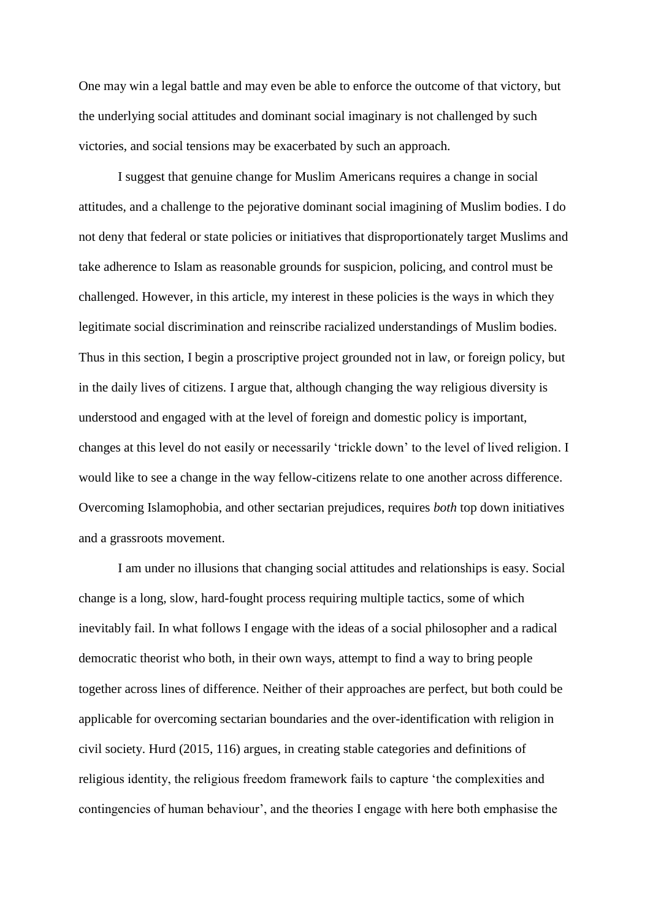One may win a legal battle and may even be able to enforce the outcome of that victory, but the underlying social attitudes and dominant social imaginary is not challenged by such victories, and social tensions may be exacerbated by such an approach.

I suggest that genuine change for Muslim Americans requires a change in social attitudes, and a challenge to the pejorative dominant social imagining of Muslim bodies. I do not deny that federal or state policies or initiatives that disproportionately target Muslims and take adherence to Islam as reasonable grounds for suspicion, policing, and control must be challenged. However, in this article, my interest in these policies is the ways in which they legitimate social discrimination and reinscribe racialized understandings of Muslim bodies. Thus in this section, I begin a proscriptive project grounded not in law, or foreign policy, but in the daily lives of citizens. I argue that, although changing the way religious diversity is understood and engaged with at the level of foreign and domestic policy is important, changes at this level do not easily or necessarily 'trickle down' to the level of lived religion. I would like to see a change in the way fellow-citizens relate to one another across difference. Overcoming Islamophobia, and other sectarian prejudices, requires *both* top down initiatives and a grassroots movement.

I am under no illusions that changing social attitudes and relationships is easy. Social change is a long, slow, hard-fought process requiring multiple tactics, some of which inevitably fail. In what follows I engage with the ideas of a social philosopher and a radical democratic theorist who both, in their own ways, attempt to find a way to bring people together across lines of difference. Neither of their approaches are perfect, but both could be applicable for overcoming sectarian boundaries and the over-identification with religion in civil society. Hurd (2015, 116) argues, in creating stable categories and definitions of religious identity, the religious freedom framework fails to capture 'the complexities and contingencies of human behaviour', and the theories I engage with here both emphasise the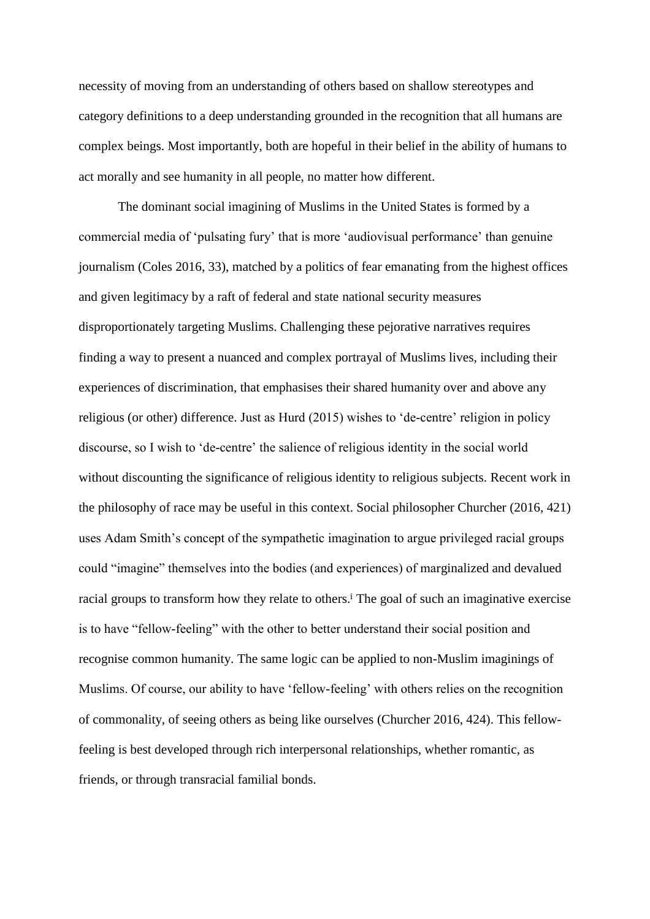necessity of moving from an understanding of others based on shallow stereotypes and category definitions to a deep understanding grounded in the recognition that all humans are complex beings. Most importantly, both are hopeful in their belief in the ability of humans to act morally and see humanity in all people, no matter how different.

The dominant social imagining of Muslims in the United States is formed by a commercial media of 'pulsating fury' that is more 'audiovisual performance' than genuine journalism (Coles 2016, 33), matched by a politics of fear emanating from the highest offices and given legitimacy by a raft of federal and state national security measures disproportionately targeting Muslims. Challenging these pejorative narratives requires finding a way to present a nuanced and complex portrayal of Muslims lives, including their experiences of discrimination, that emphasises their shared humanity over and above any religious (or other) difference. Just as Hurd (2015) wishes to 'de-centre' religion in policy discourse, so I wish to 'de-centre' the salience of religious identity in the social world without discounting the significance of religious identity to religious subjects. Recent work in the philosophy of race may be useful in this context. Social philosopher Churcher (2016, 421) uses Adam Smith's concept of the sympathetic imagination to argue privileged racial groups could "imagine" themselves into the bodies (and experiences) of marginalized and devalued racial groups to transform how they relate to others.<sup>i</sup> The goal of such an imaginative exercise is to have "fellow-feeling" with the other to better understand their social position and recognise common humanity. The same logic can be applied to non-Muslim imaginings of Muslims. Of course, our ability to have 'fellow-feeling' with others relies on the recognition of commonality, of seeing others as being like ourselves (Churcher 2016, 424). This fellowfeeling is best developed through rich interpersonal relationships, whether romantic, as friends, or through transracial familial bonds.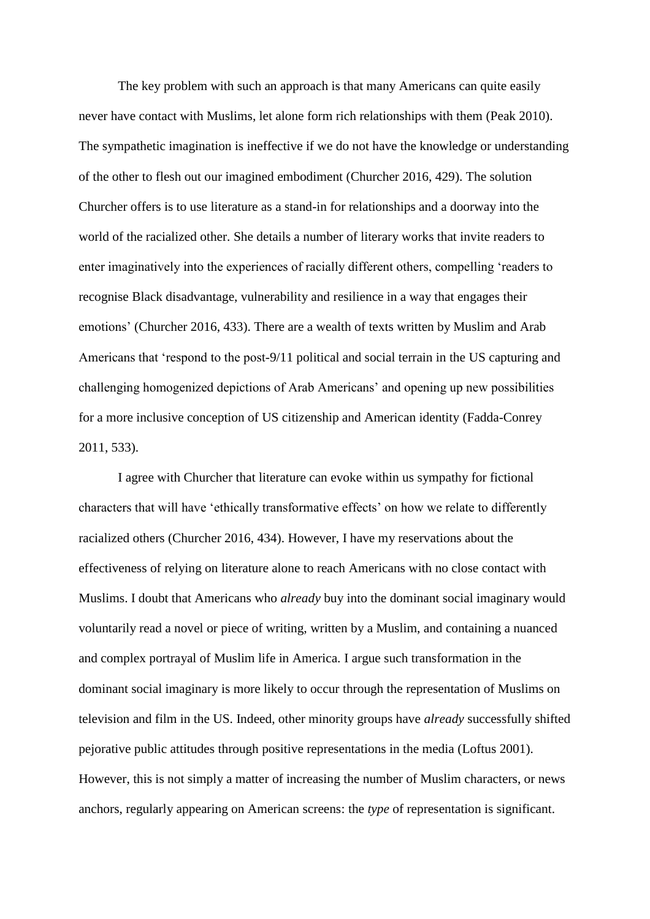The key problem with such an approach is that many Americans can quite easily never have contact with Muslims, let alone form rich relationships with them (Peak 2010). The sympathetic imagination is ineffective if we do not have the knowledge or understanding of the other to flesh out our imagined embodiment (Churcher 2016, 429). The solution Churcher offers is to use literature as a stand-in for relationships and a doorway into the world of the racialized other. She details a number of literary works that invite readers to enter imaginatively into the experiences of racially different others, compelling 'readers to recognise Black disadvantage, vulnerability and resilience in a way that engages their emotions' (Churcher 2016, 433). There are a wealth of texts written by Muslim and Arab Americans that 'respond to the post-9/11 political and social terrain in the US capturing and challenging homogenized depictions of Arab Americans' and opening up new possibilities for a more inclusive conception of US citizenship and American identity (Fadda-Conrey 2011, 533).

I agree with Churcher that literature can evoke within us sympathy for fictional characters that will have 'ethically transformative effects' on how we relate to differently racialized others (Churcher 2016, 434). However, I have my reservations about the effectiveness of relying on literature alone to reach Americans with no close contact with Muslims. I doubt that Americans who *already* buy into the dominant social imaginary would voluntarily read a novel or piece of writing, written by a Muslim, and containing a nuanced and complex portrayal of Muslim life in America. I argue such transformation in the dominant social imaginary is more likely to occur through the representation of Muslims on television and film in the US. Indeed, other minority groups have *already* successfully shifted pejorative public attitudes through positive representations in the media (Loftus 2001). However, this is not simply a matter of increasing the number of Muslim characters, or news anchors, regularly appearing on American screens: the *type* of representation is significant.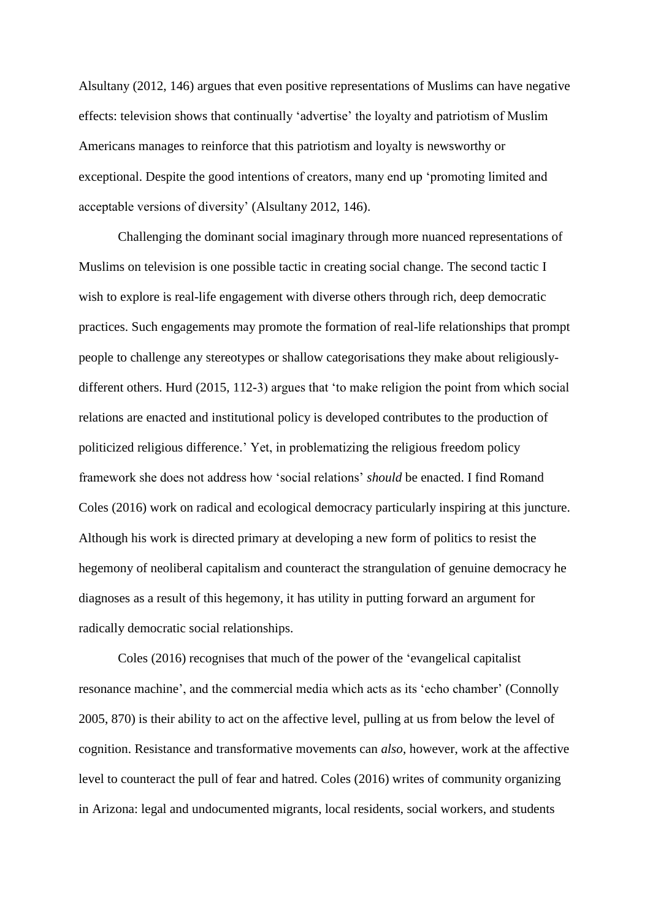Alsultany (2012, 146) argues that even positive representations of Muslims can have negative effects: television shows that continually 'advertise' the loyalty and patriotism of Muslim Americans manages to reinforce that this patriotism and loyalty is newsworthy or exceptional. Despite the good intentions of creators, many end up 'promoting limited and acceptable versions of diversity' (Alsultany 2012, 146).

Challenging the dominant social imaginary through more nuanced representations of Muslims on television is one possible tactic in creating social change. The second tactic I wish to explore is real-life engagement with diverse others through rich, deep democratic practices. Such engagements may promote the formation of real-life relationships that prompt people to challenge any stereotypes or shallow categorisations they make about religiouslydifferent others. Hurd (2015, 112-3) argues that 'to make religion the point from which social relations are enacted and institutional policy is developed contributes to the production of politicized religious difference.' Yet, in problematizing the religious freedom policy framework she does not address how 'social relations' *should* be enacted. I find Romand Coles (2016) work on radical and ecological democracy particularly inspiring at this juncture. Although his work is directed primary at developing a new form of politics to resist the hegemony of neoliberal capitalism and counteract the strangulation of genuine democracy he diagnoses as a result of this hegemony, it has utility in putting forward an argument for radically democratic social relationships.

Coles (2016) recognises that much of the power of the 'evangelical capitalist resonance machine', and the commercial media which acts as its 'echo chamber' (Connolly 2005, 870) is their ability to act on the affective level, pulling at us from below the level of cognition. Resistance and transformative movements can *also*, however, work at the affective level to counteract the pull of fear and hatred. Coles (2016) writes of community organizing in Arizona: legal and undocumented migrants, local residents, social workers, and students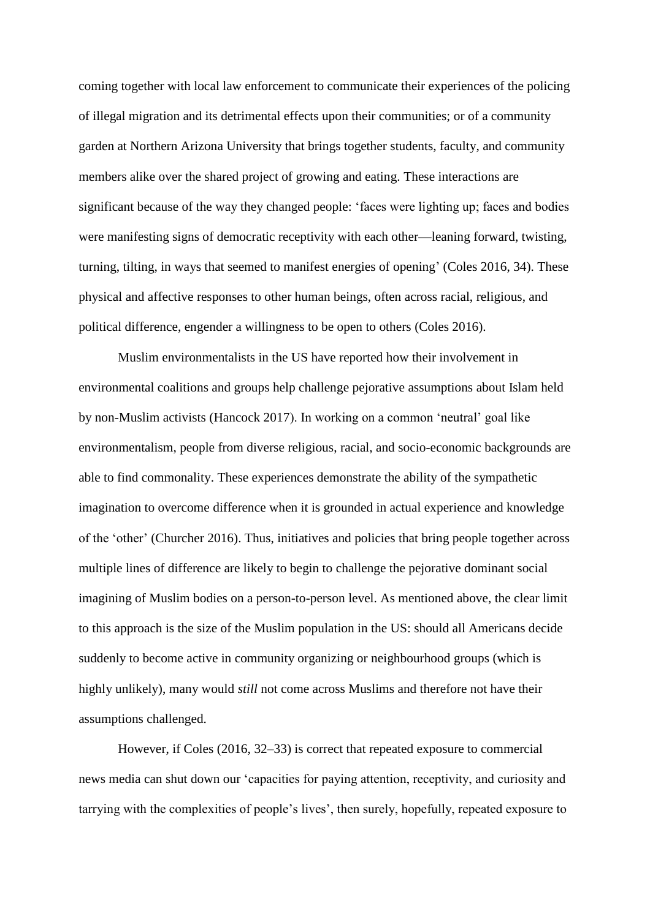coming together with local law enforcement to communicate their experiences of the policing of illegal migration and its detrimental effects upon their communities; or of a community garden at Northern Arizona University that brings together students, faculty, and community members alike over the shared project of growing and eating. These interactions are significant because of the way they changed people: 'faces were lighting up; faces and bodies were manifesting signs of democratic receptivity with each other—leaning forward, twisting, turning, tilting, in ways that seemed to manifest energies of opening' (Coles 2016, 34). These physical and affective responses to other human beings, often across racial, religious, and political difference, engender a willingness to be open to others (Coles 2016).

Muslim environmentalists in the US have reported how their involvement in environmental coalitions and groups help challenge pejorative assumptions about Islam held by non-Muslim activists (Hancock 2017). In working on a common 'neutral' goal like environmentalism, people from diverse religious, racial, and socio-economic backgrounds are able to find commonality. These experiences demonstrate the ability of the sympathetic imagination to overcome difference when it is grounded in actual experience and knowledge of the 'other' (Churcher 2016). Thus, initiatives and policies that bring people together across multiple lines of difference are likely to begin to challenge the pejorative dominant social imagining of Muslim bodies on a person-to-person level. As mentioned above, the clear limit to this approach is the size of the Muslim population in the US: should all Americans decide suddenly to become active in community organizing or neighbourhood groups (which is highly unlikely), many would *still* not come across Muslims and therefore not have their assumptions challenged.

However, if Coles (2016, 32–33) is correct that repeated exposure to commercial news media can shut down our 'capacities for paying attention, receptivity, and curiosity and tarrying with the complexities of people's lives', then surely, hopefully, repeated exposure to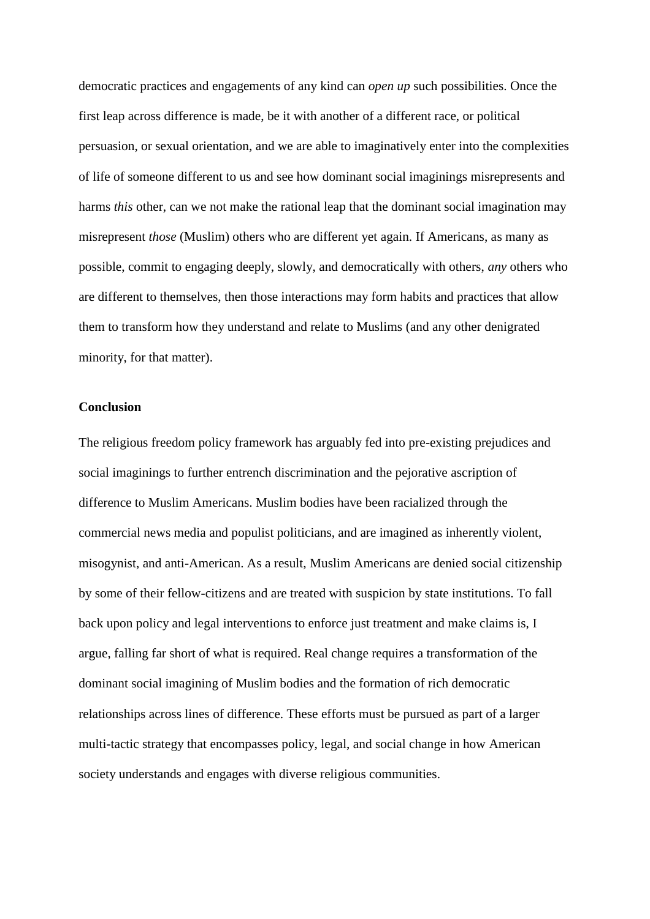democratic practices and engagements of any kind can *open up* such possibilities. Once the first leap across difference is made, be it with another of a different race, or political persuasion, or sexual orientation, and we are able to imaginatively enter into the complexities of life of someone different to us and see how dominant social imaginings misrepresents and harms *this* other, can we not make the rational leap that the dominant social imagination may misrepresent *those* (Muslim) others who are different yet again. If Americans, as many as possible, commit to engaging deeply, slowly, and democratically with others, *any* others who are different to themselves, then those interactions may form habits and practices that allow them to transform how they understand and relate to Muslims (and any other denigrated minority, for that matter).

#### **Conclusion**

The religious freedom policy framework has arguably fed into pre-existing prejudices and social imaginings to further entrench discrimination and the pejorative ascription of difference to Muslim Americans. Muslim bodies have been racialized through the commercial news media and populist politicians, and are imagined as inherently violent, misogynist, and anti-American. As a result, Muslim Americans are denied social citizenship by some of their fellow-citizens and are treated with suspicion by state institutions. To fall back upon policy and legal interventions to enforce just treatment and make claims is, I argue, falling far short of what is required. Real change requires a transformation of the dominant social imagining of Muslim bodies and the formation of rich democratic relationships across lines of difference. These efforts must be pursued as part of a larger multi-tactic strategy that encompasses policy, legal, and social change in how American society understands and engages with diverse religious communities.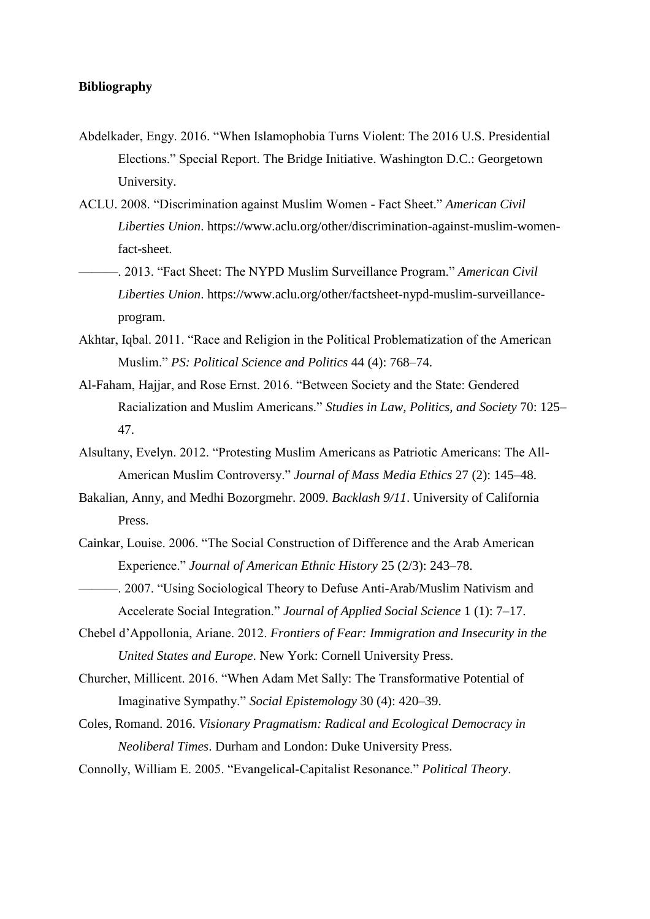### **Bibliography**

- Abdelkader, Engy. 2016. "When Islamophobia Turns Violent: The 2016 U.S. Presidential Elections." Special Report. The Bridge Initiative. Washington D.C.: Georgetown University.
- ACLU. 2008. "Discrimination against Muslim Women Fact Sheet." *American Civil Liberties Union*. https://www.aclu.org/other/discrimination-against-muslim-womenfact-sheet.
- ———. 2013. "Fact Sheet: The NYPD Muslim Surveillance Program." *American Civil Liberties Union*. https://www.aclu.org/other/factsheet-nypd-muslim-surveillanceprogram.
- Akhtar, Iqbal. 2011. "Race and Religion in the Political Problematization of the American Muslim." *PS: Political Science and Politics* 44 (4): 768–74.
- Al-Faham, Hajjar, and Rose Ernst. 2016. "Between Society and the State: Gendered Racialization and Muslim Americans." *Studies in Law, Politics, and Society* 70: 125– 47.
- Alsultany, Evelyn. 2012. "Protesting Muslim Americans as Patriotic Americans: The All-American Muslim Controversy." *Journal of Mass Media Ethics* 27 (2): 145–48.
- Bakalian, Anny, and Medhi Bozorgmehr. 2009. *Backlash 9/11*. University of California Press.
- Cainkar, Louise. 2006. "The Social Construction of Difference and the Arab American Experience." *Journal of American Ethnic History* 25 (2/3): 243–78.
- ———. 2007. "Using Sociological Theory to Defuse Anti-Arab/Muslim Nativism and Accelerate Social Integration." *Journal of Applied Social Science* 1 (1): 7–17.
- Chebel d'Appollonia, Ariane. 2012. *Frontiers of Fear: Immigration and Insecurity in the United States and Europe*. New York: Cornell University Press.
- Churcher, Millicent. 2016. "When Adam Met Sally: The Transformative Potential of Imaginative Sympathy." *Social Epistemology* 30 (4): 420–39.
- Coles, Romand. 2016. *Visionary Pragmatism: Radical and Ecological Democracy in Neoliberal Times*. Durham and London: Duke University Press.
- Connolly, William E. 2005. "Evangelical-Capitalist Resonance." *Political Theory*.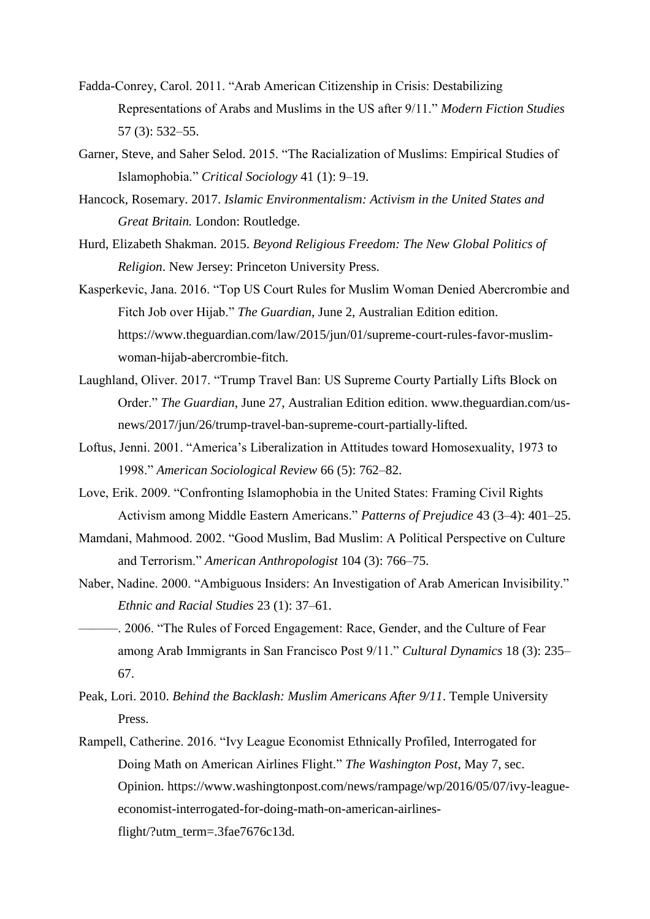- Fadda-Conrey, Carol. 2011. "Arab American Citizenship in Crisis: Destabilizing Representations of Arabs and Muslims in the US after 9/11." *Modern Fiction Studies* 57 (3): 532–55.
- Garner, Steve, and Saher Selod. 2015. "The Racialization of Muslims: Empirical Studies of Islamophobia." *Critical Sociology* 41 (1): 9–19.
- Hancock, Rosemary. 2017. *Islamic Environmentalism: Activism in the United States and Great Britain.* London: Routledge.
- Hurd, Elizabeth Shakman. 2015. *Beyond Religious Freedom: The New Global Politics of Religion*. New Jersey: Princeton University Press.
- Kasperkevic, Jana. 2016. "Top US Court Rules for Muslim Woman Denied Abercrombie and Fitch Job over Hijab." *The Guardian*, June 2, Australian Edition edition. https://www.theguardian.com/law/2015/jun/01/supreme-court-rules-favor-muslimwoman-hijab-abercrombie-fitch.
- Laughland, Oliver. 2017. "Trump Travel Ban: US Supreme Courty Partially Lifts Block on Order." *The Guardian*, June 27, Australian Edition edition. www.theguardian.com/usnews/2017/jun/26/trump-travel-ban-supreme-court-partially-lifted.
- Loftus, Jenni. 2001. "America's Liberalization in Attitudes toward Homosexuality, 1973 to 1998." *American Sociological Review* 66 (5): 762–82.
- Love, Erik. 2009. "Confronting Islamophobia in the United States: Framing Civil Rights Activism among Middle Eastern Americans." *Patterns of Prejudice* 43 (3–4): 401–25.
- Mamdani, Mahmood. 2002. "Good Muslim, Bad Muslim: A Political Perspective on Culture and Terrorism." *American Anthropologist* 104 (3): 766–75.
- Naber, Nadine. 2000. "Ambiguous Insiders: An Investigation of Arab American Invisibility." *Ethnic and Racial Studies* 23 (1): 37–61.
- ———. 2006. "The Rules of Forced Engagement: Race, Gender, and the Culture of Fear among Arab Immigrants in San Francisco Post 9/11." *Cultural Dynamics* 18 (3): 235– 67.
- Peak, Lori. 2010. *Behind the Backlash: Muslim Americans After 9/11*. Temple University Press.
- Rampell, Catherine. 2016. "Ivy League Economist Ethnically Profiled, Interrogated for Doing Math on American Airlines Flight." *The Washington Post*, May 7, sec. Opinion. https://www.washingtonpost.com/news/rampage/wp/2016/05/07/ivy-leagueeconomist-interrogated-for-doing-math-on-american-airlinesflight/?utm\_term=.3fae7676c13d.